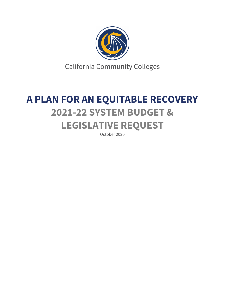

# **A PLAN FOR AN EQUITABLE RECOVERY 2021-22 SYSTEM BUDGET & LEGISLATIVE REQUEST**

October 2020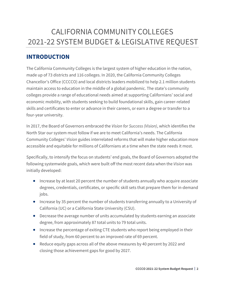## CALIFORNIA COMMUNITY COLLEGES 2021-22 SYSTEM BUDGET & LEGISLATIVE REQUEST

## **INTRODUCTION**

The California Community Colleges is the largest system of higher education in the nation, made up of 73 districts and 116 colleges. In 2020, the California Community Colleges Chancellor's Office (CCCCO) and local districts leaders mobilized to help 2.1 million students maintain access to education in the middle of a global pandemic. The state's community colleges provide a range of educational needs aimed at supporting Californians' social and economic mobility, with students seeking to build foundational skills, gain career-related skills and certificates to enter or advance in their careers, or earn a degree or transfer to a four-year university.

In 2017, the Board of Governors embraced the *Vision for Success (Vision)*, which identifies the North Star our system must follow if we are to meet California's needs. The California Community Colleges' *Vision* guides interrelated reforms that will make higher education more accessible and equitable for millions of Californians at a time when the state needs it most.

Specifically, to intensify the focus on students' end goals, the Board of Governors adopted the following systemwide goals, which were built off the most recent data when the *Vision* was initially developed:

- Increase by at least 20 percent the number of students annually who acquire associate degrees, credentials, certificates, or specific skill sets that prepare them for in-demand jobs.
- Increase by 35 percent the number of students transferring annually to a University of California (UC) or a California State University (CSU).
- Decrease the average number of units accumulated by students earning an associate degree, from approximately 87 total units to 79 total units.
- Increase the percentage of exiting CTE students who report being employed in their field of study, from 60 percent to an improved rate of 69 percent.
- Reduce equity gaps across all of the above measures by 40 percent by 2022 and closing those achievement gaps for good by 2027.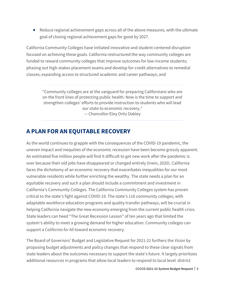• Reduce regional achievement gaps across all of the above measures, with the ultimate goal of closing regional achievement gaps for good by 2027.

California Community Colleges have initiated innovative and student-centered disruption focused on achieving these goals. California restructured the way community colleges are funded to reward community colleges that improve outcomes for low-income students; phasing out high-stakes placement exams and develop for-credit alternatives to remedial classes; expanding access to structured academic and career pathways; and

"Community colleges are at the vanguard for preparing Californians who are on the front lines of protecting public health. Now is the time to support and strengthen colleges' efforts to provide instruction to students who will lead our state to economic recovery." — Chancellor Eloy Ortiz Oakley

## **A PLAN FOR AN EQUITABLE RECOVERY**

As the world continues to grapple with the consequences of the COVID-19 pandemic, the uneven impact and inequities of the economic recession have been become grossly apparent. An estimated five million people will find it difficult to get new work after the pandemic is over because their old jobs have disappeared or changed entirely (Irwin, 2020). California faces the dichotomy of an economic recovery that exacerbates inequalities for our most vulnerable residents while further enriching the wealthy. The state needs a plan for an equitable recovery and such a plan should include a commitment and investment in California's Community Colleges. The California Community Colleges system has proven critical to the state's fight against COVID-19. The state's 116 community colleges, with adaptable workforce education programs and quality transfer pathways, will be crucial in helping California navigate the new economy emerging from the current public health crisis. State leaders can heed "The Great Recession Lesson" of ten years ago that limited the system's ability to meet a growing demand for higher education. Community colleges can support a *California for All* toward economic recovery.

The Board of Governors' Budget and Legislative Request for 2021-21 furthers the *Vision* by proposing budget adjustments and policy changes that respond to these clear signals from state leaders about the outcomes necessary to support the state's future. It largely prioritizes additional resources in programs that allow local leaders to respond to local level district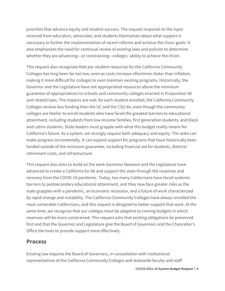priorities that advance equity and student success. The request responds to the input received from educators, advocates, and students themselves about what support is necessary to further the implementation of recent reforms and achieve the *Vision* goals. It also emphasizes the need for continual review of existing laws and policies to determine whether they are advancing—or constraining—colleges' ability to achieve the *Vision*.

This request also recognizes that per-student resources for the California Community Colleges has long been far too low, even as costs increase oftentimes faster than inflation, making it more difficult for colleges to even maintain existing programs. Historically, the Governor and the Legislature have not appropriated resources above the minimum guarantee of appropriations to schools and community colleges enacted in Proposition 98 and related laws. The impacts are real: for each student enrolled, the California Community Colleges receive less funding than the UC and the CSU do, even though the community colleges are likelier to enroll students who have faced the greatest barriers to educational attainment, including students from low-income families, first generation students, and black and Latinx students. State leaders must grapple with what this budget reality means for California's future. As a system, we strongly request both adequacy and equity. The state can make progress incrementally. It can expand support for programs that have historically been funded outside of the minimum guarantee, including financial aid for students, districts' retirement costs, and infrastructure.

This request also aims to build on the work Governor Newsom and the Legislature have advanced to create a California for All and support the state through the response and recovery from the COVID-19 pandemic. Today, too many Californians have faced systemic barriers to postsecondary educational attainment, and they now face greater risks as the state grapples with a pandemic, an economic recession, and a future of work characterized by rapid change and instability. The California Community Colleges have always enrolled the most vulnerable Californians, and this request is designed to better support that work. At the same time, we recognize that our colleges must be adaptive to coming budgets in which revenues will be more constrained. This request asks that existing obligations be preserved first and that the Governor and Legislature give the Board of Governors and the Chancellor's Office the tools to provide support most effectively.

## **Process**

Existing law requires the Board of Governors, in consultation with institutional representatives of the California Community Colleges and statewide faculty and staff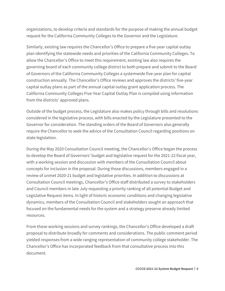organizations, to develop criteria and standards for the purpose of making the annual budget request for the California Community Colleges to the Governor and the Legislature.

Similarly, existing law requires the Chancellor's Office to prepare a five-year capital outlay plan identifying the statewide needs and priorities of the California Community Colleges. To allow the Chancellor's Office to meet this requirement, existing law also requires the governing board of each community college district to both prepare and submit to the Board of Governors of the California Community Colleges a systemwide five-year plan for capital construction annually. The Chancellor's Office reviews and approves the districts' five-year capital outlay plans as part of the annual capital outlay grant application process. The California Community Colleges Five-Year Capital Outlay Plan is compiled using information from the districts' approved plans.

Outside of the budget process, the Legislature also makes policy through bills and resolutions considered in the legislative process, with bills enacted by the Legislature presented to the Governor for consideration. The standing orders of the Board of Governors also generally require the Chancellor to seek the advice of the Consultation Council regarding positions on state legislation.

During the May 2020 Consultation Council meeting, the Chancellor's Office began the process to develop the Board of Governors' budget and legislative request for the 2021-22 fiscal year, with a working session and discussion with members of the Consultation Council about concepts for inclusion in the proposal. During those discussions, members engaged in a review of unmet 2020-21 budget and legislative priorities. In addition to discussions at Consultation Council meetings, Chancellor's Office staff distributed a survey to stakeholders and Council members in late July requesting a priority ranking of all potential Budget and Legislative Request items. In light of historic economic conditions and changing legislative dynamics, members of the Consultation Council and stakeholders sought an approach that focused on the fundamental needs for the system and a strategy preserve already limited resources.

From those working sessions and survey rankings, the Chancellor's Office developed a draft proposal to distribute broadly for comments and considerations. The public comment period yielded responses from a wide ranging representation of community college stakeholder. The Chancellor's Office has incorporated feedback from that consultative process into this document.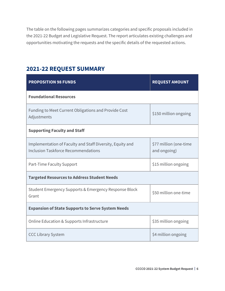The table on the following pages summarizes categories and specific proposals included in the 2021-22 Budget and Legislative Request. The report articulates existing challenges and opportunities motivating the requests and the specific details of the requested actions.

## **2021-22 REQUEST SUMMARY**

| <b>PROPOSITION 98 FUNDS</b>                                                                             | <b>REQUEST AMOUNT</b>                  |  |
|---------------------------------------------------------------------------------------------------------|----------------------------------------|--|
| <b>Foundational Resources</b>                                                                           |                                        |  |
| Funding to Meet Current Obligations and Provide Cost<br>Adjustments                                     | \$150 million ongoing                  |  |
| <b>Supporting Faculty and Staff</b>                                                                     |                                        |  |
| Implementation of Faculty and Staff Diversity, Equity and<br><b>Inclusion Taskforce Recommendations</b> | \$77 million (one-time<br>and ongoing) |  |
| Part-Time Faculty Support                                                                               | \$15 million ongoing                   |  |
| <b>Targeted Resources to Address Student Needs</b>                                                      |                                        |  |
| Student Emergency Supports & Emergency Response Block<br>Grant                                          | \$50 million one-time                  |  |
| <b>Expansion of State Supports to Serve System Needs</b>                                                |                                        |  |
| Online Education & Supports Infrastructure                                                              | \$35 million ongoing                   |  |
| <b>CCC Library System</b>                                                                               | \$4 million ongoing                    |  |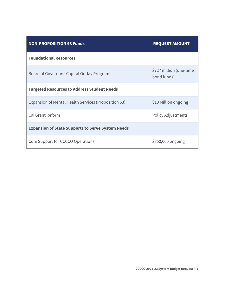| <b>NON-PROPOSITION 98 Funds</b>                          | <b>REQUEST AMOUNT</b>                  |  |
|----------------------------------------------------------|----------------------------------------|--|
| <b>Foundational Resources</b>                            |                                        |  |
| Board of Governors' Capital Outlay Program               | \$727 million (one-time<br>bond funds) |  |
| <b>Targeted Resources to Address Student Needs</b>       |                                        |  |
| Expansion of Mental Health Services (Proposition 63)     | \$10 Million ongoing                   |  |
| Cal Grant Reform                                         | <b>Policy Adjustments</b>              |  |
| <b>Expansion of State Supports to Serve System Needs</b> |                                        |  |
| Core Support for CCCCO Operations                        | \$850,000 ongoing                      |  |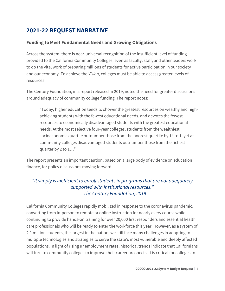## **2021-22 REQUEST NARRATIVE**

#### **Funding to Meet Fundamental Needs and Growing Obligations**

Across the system, there is near-universal recognition of the insufficient level of funding provided to the California Community Colleges, even as faculty, staff, and other leaders work to do the vital work of preparing millions of students for active participation in our society and our economy. To achieve the *Vision*, colleges must be able to access greater levels of resources.

The Century Foundation, in a report released in 2019, noted the need for greater discussions around adequacy of community college funding. The report notes:

"Today, higher education tends to shower the greatest resources on wealthy and highachieving students with the fewest educational needs, and devotes the fewest resources to economically disadvantaged students with the greatest educational needs. At the most selective four-year colleges, students from the wealthiest socioeconomic quartile outnumber those from the poorest quartile by 14 to 1, yet at community colleges disadvantaged students outnumber those from the richest quarter by 2 to 1…"

The report presents an important caution, based on a large body of evidence on education finance, for policy discussions moving forward:

### *"It simply is inefficient to enroll students in programs that are not adequately supported with institutional resources." — The Century Foundation, 2019*

California Community Colleges rapidly mobilized in response to the coronavirus pandemic, converting from in-person to remote or online instruction for nearly every course while continuing to provide hands-on training for over 20,000 first responders and essential health care professionals who will be ready to enter the workforce this year. However, as a system of 2.1 million students, the largest in the nation, we still face many challenges in adapting to multiple technologies and strategies to serve the state's most vulnerable and deeply affected populations. In light of rising unemployment rates, historical trends indicate that Californians will turn to community colleges to improve their career prospects. It is critical for colleges to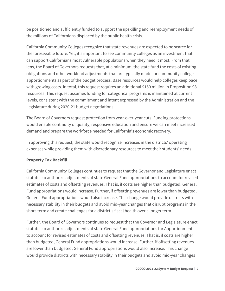be positioned and sufficiently funded to support the upskilling and reemployment needs of the millions of Californians displaced by the public health crisis.

California Community Colleges recognize that state revenues are expected to be scarce for the foreseeable future. Yet, it's important to see community colleges as an investment that can support Californians most vulnerable populations when they need it most. From that lens, the Board of Governors requests that, at a minimum, the state fund the costs of existing obligations and other workload adjustments that are typically made for community college apportionments as part of the budget process. Base resources would help colleges keep pace with growing costs. In total, this request requires an additional \$150 million in Proposition 98 resources. This request assumes funding for categorical programs is maintained at current levels, consistent with the commitment and intent expressed by the Administration and the Legislature during 2020-21 budget negotiations.

The Board of Governors request protection from year-over-year cuts. Funding protections would enable continuity of quality, responsive education and ensure we can meet increased demand and prepare the workforce needed for California's economic recovery.

In approving this request, the state would recognize increases in the districts' operating expenses while providing them with discretionary resources to meet their students' needs.

#### **Property Tax Backfill**

California Community Colleges continues to request that the Governor and Legislature enact statutes to authorize adjustments of state General Fund appropriations to account for revised estimates of costs and offsetting revenues. That is, if costs are higher than budgeted, General Fund appropriations would increase. Further, if offsetting revenues are lower than budgeted, General Fund appropriations would also increase. This change would provide districts with necessary stability in their budgets and avoid mid-year changes that disrupt programs in the short-term and create challenges for a district's fiscal health over a longer term.

Further, the Board of Governors continues to request that the Governor and Legislature enact statutes to authorize adjustments of state General Fund appropriations for Apportionments to account for revised estimates of costs and offsetting revenues. That is, if costs are higher than budgeted, General Fund appropriations would increase. Further, if offsetting revenues are lower than budgeted, General Fund appropriations would also increase. This change would provide districts with necessary stability in their budgets and avoid mid-year changes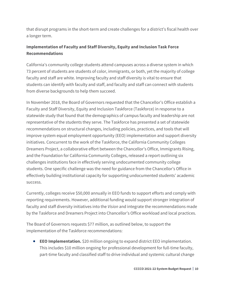that disrupt programs in the short-term and create challenges for a district's fiscal health over a longer term.

#### **Implementation of Faculty and Staff Diversity, Equity and Inclusion Task Force Recommendations**

California's community college students attend campuses across a diverse system in which 73 percent of students are students of color, immigrants, or both, yet the majority of college faculty and staff are white. Improving faculty and staff diversity is vital to ensure that students can identify with faculty and staff, and faculty and staff can connect with students from diverse backgrounds to help them succeed.

In November 2018, the Board of Governors requested that the Chancellor's Office establish a Faculty and Staff Diversity, Equity and Inclusion Taskforce (Taskforce) in response to a statewide study that found that the demographics of campus faculty and leadership are not representative of the students they serve. The Taskforce has presented a set of statewide recommendations on structural changes, including policies, practices, and tools that will improve system equal employment opportunity (EEO) implementation and support diversity initiatives. Concurrent to the work of the Taskforce, the California Community Colleges Dreamers Project, a collaborative effort between the Chancellor's Office, Immigrants Rising, and the Foundation for California Community Colleges, released a report outlining six challenges institutions face in effectively serving undocumented community college students. One specific challenge was the need for guidance from the Chancellor's Office in effectively building institutional capacity for supporting undocumented students' academic success.

Currently, colleges receive \$50,000 annually in EEO funds to support efforts and comply with reporting requirements. However, additional funding would support stronger integration of faculty and staff diversity initiatives into the *Vision* and integrate the recommendations made by the Taskforce and Dreamers Project into Chancellor's Office workload and local practices.

The Board of Governors requests \$77 million, as outlined below, to support the implementation of the Taskforce recommendations:

• **EEO Implementation.** \$20 million ongoing to expand district EEO implementation. This includes \$10 million ongoing for professional development for full-time faculty, part-time faculty and classified staff to drive individual and systemic cultural change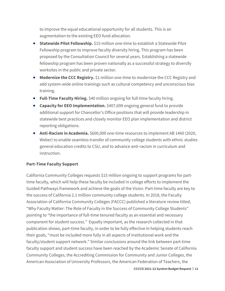to improve the equal educational opportunity for all students. This is an augmentation to the existing EEO fund allocation.

- **Statewide Pilot Fellowship.** \$15 million one-time to establish a Statewide Pilot Fellowship program to improve faculty diversity hiring. This program has been proposed by the Consultation Council for several years. Establishing a statewide fellowship program has been proven nationally as a successful strategy to diversify worksites in the public and private sector.
- **Modernize the CCC Registry.** \$1 million one-time to modernize the CCC Registry and add system-wide online trainings such as cultural competency and unconscious bias training.
- **Full-Time Faculty Hiring.** \$40 million ongoing for full-time faculty hiring.
- **Capacity for EEO Implementation.** \$407,699 ongoing general fund to provide additional support for Chancellor's Office positions that will provide leadership in statewide best practices and closely monitor EEO plan implementation and district reporting obligations.
- **Anti-Racism in Academia.** \$600,000 one-time resources to implement AB 1460 (2020, Weber) to enable seamless transfer of community college students with ethnic studies general education credits to CSU, and to advance anti-racism in curriculum and instruction.

#### **Part-Time Faculty Support**

California Community Colleges requests \$15 million ongoing to support programs for parttime faculty, which will help these faculty be included in college efforts to implement the Guided Pathways framework and achieve the goals of the *Vision*. Part-time faculty are key to the success of California 2.1 million community college students. In 2018, the Faculty Association of California Community Colleges (FACCC) published a literature review titled, "Why Faculty Matter: The Role of Faculty in the Success of Community College Students" pointing to "the importance of full-time tenured faculty as an essential and necessary component for student success." Equally important, as the research collected in that publication shows, part-time faculty, in order to be fully effective in helping students reach their goals, "must be included more fully in all aspects of institutional work and the faculty/student support network." Similar conclusions around the link between part-time faculty support and student success have been reached by the Academic Senate of California Community Colleges, the Accrediting Commission for Community and Junior Colleges, the American Association of University Professors, the American Federation of Teachers, the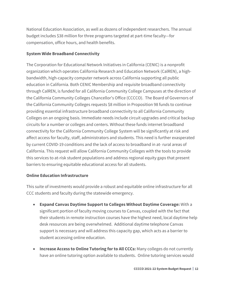National Education Association, as well as dozens of independent researchers. The annual budget includes \$38 million for three programs targeted at part-time faculty—for compensation, office hours, and health benefits.

#### **System Wide Broadband Connectivity**

The Corporation for Educational Network Initiatives in California (CENIC) is a nonprofit organization which operates California Research and Education Network (CalREN), a highbandwidth, high-capacity computer network across California supporting all public education in California. Both CENIC Membership and requisite broadband connectivity through CalREN, is funded for all California Community College Campuses at the direction of the California Community Colleges Chancellor's Office (CCCCO). The Board of Governors of the California Community Colleges requests \$8 million in Proposition 98 funds to continue providing essential infrastructure broadband connectivity to all California Community Colleges on an ongoing basis. Immediate needs include circuit upgrades and critical backup circuits for a number or colleges and centers. Without these funds internet broadband connectivity for the California Community College System will be significantly at risk and affect access for faculty, staff, administrators and students. This need is further exasperated by current COVID-19 conditions and the lack of access to broadband in at- rural areas of California. This request will allow California Community Colleges with the tools to provide this services to at-risk student populations and address regional equity gaps that present barriers to ensuring equitable educational access for all students.

#### **Online Education Infrastructure**

This suite of investments would provide a robust and equitable online infrastructure for all CCC students and faculty during the statewide emergency.

- **Expand Canvas Daytime Support to Colleges Without Daytime Coverage:** With a significant portion of faculty moving courses to Canvas, coupled with the fact that their students in remote instruction courses have the highest need, local daytime help desk resources are being overwhelmed. Additional daytime telephone Canvas support is necessary and will address this capacity gap, which acts as a barrier to student accessing online education.
- **Increase Access to Online Tutoring for to All CCCs:** Many colleges do not currently have an online tutoring option available to students. Online tutoring services would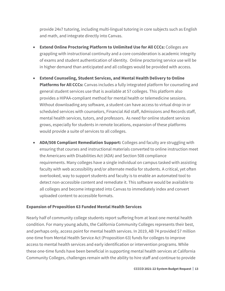provide 24x7 tutoring, including multi-lingual tutoring in core subjects such as English and math, and integrate directly into Canvas.

- **Extend Online Proctoring Platform to Unlimited Use for All CCCs:** Colleges are grappling with instructional continuity and a core consideration is academic integrity of exams and student authentication of identity. Online proctoring service use will be in higher demand than anticipated and all colleges would be provided with access.
- **Extend Counseling, Student Services, and Mental Health Delivery to Online Platforms for All CCCs:** Canvas includes a fully integrated platform for counseling and general student services use that is available at 57 colleges. This platform also provides a HIPAA-compliant method for mental health or telemedicine sessions. Without downloading any software, a student can have access to virtual drop-in or scheduled services with counselors, Financial Aid staff, Admissions and Records staff, mental health services, tutors, and professors. As need for online student services grows, especially for students in remote locations, expansion of these platforms would provide a suite of services to all colleges.
- **ADA/508 Compliant Remediation Support:** Colleges and faculty are struggling with ensuring that courses and instructional materials converted to online instruction meet the Americans with Disabilities Act (ADA) and Section 508 compliance requirements. Many colleges have a single individual on campus tasked with assisting faculty with web accessibility and/or alternate media for students. A critical, yet often overlooked, way to support students and faculty is to enable an automated tool to detect non-accessible content and remediate it. This software would be available to all colleges and become integrated into Canvas to immediately index and convert uploaded content to accessible formats.

#### **Expansion of Proposition 63 Funded Mental Health Services**

Nearly half of community college students report suffering from at least one mental health condition. For many young adults, the California Community Colleges represents their best, and perhaps only, access point for mental health services. In 2019, AB 74 provided \$7 million one-time from Mental Health Service Act (Proposition 63) funds for colleges to improve access to mental health services and early identification or intervention programs. While these one-time funds have been beneficial in supporting mental health services at California Community Colleges, challenges remain with the ability to hire staff and continue to provide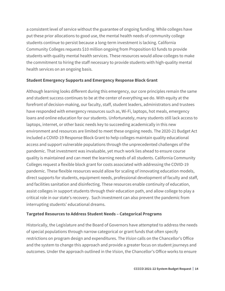a consistent level of service without the guarantee of ongoing funding. While colleges have put these prior allocations to good use, the mental health needs of community college students continue to persist because a long-term investment is lacking. California Community Colleges requests \$10 million ongoing from Proposition 63 funds to provide students with quality mental health services. These resources would allow colleges to make the commitment to hiring the staff necessary to provide students with high-quality mental health services on an ongoing basis.

#### **Student Emergency Supports and Emergency Response Block Grant**

Although learning looks different during this emergency, our core principles remain the same and student success continues to be at the center of everything we do. With equity at the forefront of decision-making, our faculty, staff, student leaders, administrators and trustees have responded with emergency resources such as, Wi-Fi, laptops, hot meals, emergency loans and online education for our students. Unfortunately, many students still lack access to laptops, internet, or other basic needs key to succeeding academically in this new environment and resources are limited to meet these ongoing needs. The 2020-21 Budget Act included a COVID-19 Response Block Grant to help colleges maintain quality educational access and support vulnerable populations through the unprecedented challenges of the pandemic. That investment was invaluable, yet much work lies ahead to ensure course quality is maintained and can meet the learning needs of all students. California Community Colleges request a flexible block grant for costs associated with addressing the COVID-19 pandemic. These flexible resources would allow for scaling of innovating education models, direct supports for students, equipment needs, professional development of faculty and staff, and facilities sanitation and disinfecting. These resources enable continuity of education, assist colleges in support students through their education path, and allow college to play a critical role in our state's recovery. Such investment can also prevent the pandemic from interrupting students' educational dreams.

#### **Targeted Resources to Address Student Needs – Categorical Programs**

Historically, the Legislature and the Board of Governors have attempted to address the needs of special populations through narrow categorical or grant funds that often specify restrictions on program design and expenditures. The *Vision* calls on the Chancellor's Office and the system to change this approach and provide a greater focus on student journeys and outcomes. Under the approach outlined in the *Vision*, the Chancellor's Office works to ensure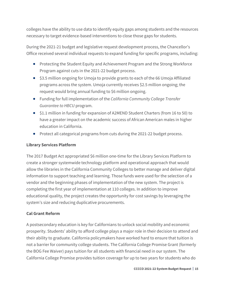colleges have the ability to use data to identify equity gaps among students and the resources necessary to target evidence-based interventions to close those gaps for students.

During the 2021-21 budget and legislative request development process, the Chancellor's Office received several individual requests to expand funding for specific programs, including:

- Protecting the Student Equity and Achievement Program and the Strong Workforce Program against cuts in the 2021-22 budget process.
- \$3.5 million ongoing for Umoja to provide grants to each of the 66 Umoja Affiliated programs across the system. Umoja currently receives \$2.5 million ongoing; the request would bring annual funding to \$6 million ongoing.
- Funding for full implementation of the *California Community College Transfer Guarantee to HBCU* program.
- \$1.1 million in funding for expansion of A2MEND Student Charters (from 16 to 50) to have a greater impact on the academic success of African American males in higher education in California.
- Protect all categorical programs from cuts during the 2021-22 budget process.

#### **Library Services Platform**

The 2017 Budget Act appropriated \$6 million one-time for the Library Services Platform to create a stronger systemwide technology platform and operational approach that would allow the libraries in the California Community Colleges to better manage and deliver digital information to support teaching and learning. Those funds were used for the selection of a vendor and the beginning phases of implementation of the new system. The project is completing the first year of implementation at 110 colleges. In addition to improve educational quality, the project creates the opportunity for cost savings by leveraging the system's size and reducing duplicative procurements.

#### **Cal Grant Reform**

A postsecondary education is key for Californians to unlock social mobility and economic prosperity. Students' ability to afford college plays a major role in their decision to attend and their ability to graduate. California policymakers have worked hard to ensure that tuition is not a barrier for community college students. The California College Promise Grant (formerly the BOG Fee Waiver) pays tuition for all students with financial need in our system. The California College Promise provides tuition coverage for up to two years for students who do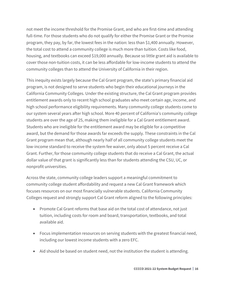not meet the income threshold for the Promise Grant, and who are first-time and attending full-time. For those students who do not qualify for either the Promise Grant or the Promise program, they pay, by far, the lowest fees in the nation: less than \$1,400 annually. However, the total cost to attend a community college is much more than tuition. Costs like food, housing, and textbooks can exceed \$19,000 annually. Because so little grant aid is available to cover those non-tuition costs, it can be less affordable for low-income students to attend the community colleges than to attend the University of California in their region.

This inequity exists largely because the Cal Grant program, the state's primary financial aid program, is not designed to serve students who begin their educational journeys in the California Community Colleges. Under the existing structure, the Cal Grant program provides entitlement awards only to recent high school graduates who meet certain age, income, and high school performance eligibility requirements. Many community college students come to our system several years after high school. More 40 percent of California's community college students are over the age of 25, making them ineligible for a Cal Grant entitlement award. Students who are ineligible for the entitlement award may be eligible for a competitive award, but the demand for those awards far exceeds the supply. These constraints in the Cal Grant program mean that, although nearly half of all community college students meet the low-income standard to receive the system fee waiver, only about 5 percent receive a Cal Grant. Further, for those community college students that do receive a Cal Grant, the actual dollar value of that grant is significantly less than for students attending the CSU, UC, or nonprofit universities.

Across the state, community college leaders support a meaningful commitment to community college student affordability and request a new Cal Grant framework which focuses resources on our most financially vulnerable students. California Community Colleges request and strongly support Cal Grant reform aligned to the following principles:

- Promote Cal Grant reforms that base aid on the total cost of attendance, not just tuition, including costs for room and board, transportation, textbooks, and total available aid.
- Focus implementation resources on serving students with the greatest financial need, including our lowest income students with a zero EFC.
- Aid should be based on student need, not the institution the student is attending.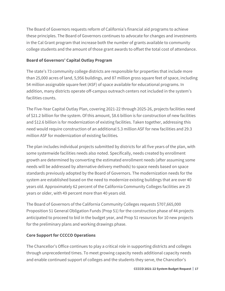The Board of Governors requests reform of California's financial aid programs to achieve these principles. The Board of Governors continues to advocate for changes and investments in the Cal Grant program that increase both the number of grants available to community college students and the amount of those grant awards to offset the total cost of attendance.

#### **Board of Governors' Capital Outlay Program**

The state's 73 community college districts are responsible for properties that include more than 25,000 acres of land, 5,956 buildings, and 87 million gross square feet of space, including 54 million assignable square feet (ASF) of space available for educational programs. In addition, many districts operate off-campus outreach centers not included in the system's facilities counts.

The Five-Year Capital Outlay Plan, covering 2021-22 through 2025-26, projects facilities need of \$21.2 billion for the system. Of this amount, \$8.6 billion is for construction of new facilities and \$12.6 billion is for modernization of existing facilities. Taken together, addressing this need would require construction of an additional 5.3 million ASF for new facilities and 29.3 million ASF for modernization of existing facilities. 

The plan includes individual projects submitted by districts for all five years of the plan, with some systemwide facilities needs also noted. Specifically, needs created by enrollment growth are determined by converting the estimated enrollment needs (after assuming some needs will be addressed by alternative delivery methods) to space needs based on space standards previously adopted by the Board of Governors. The modernization needs for the system are established based on the need to modernize existing buildings that are over 40 years old. Approximately 62 percent of the California Community Colleges facilities are 25 years or older, with 49 percent more than 40 years old.

The Board of Governors of the California Community Colleges requests \$707,665,000 Proposition 51 General Obligation Funds (Prop 51) for the construction phase of 44 projects anticipated to proceed to bid in the budget year, and Prop 51 resources for 10 new projects for the preliminary plans and working drawings phase.

#### **Core Support for CCCCO Operations**

The Chancellor's Office continues to play a critical role in supporting districts and colleges through unprecedented times. To meet growing capacity needs additional capacity needs and enable continued support of colleges and the students they serve, the Chancellor's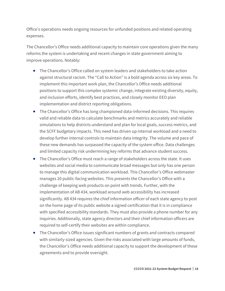Office's operations needs ongoing resources for unfunded positions and related operating expenses.

The Chancellor's Office needs additional capacity to maintain core operations given the many reforms the system is undertaking and recent changes in state government aiming to improve operations. Notably:

- The Chancellor's Office called on system leaders and stakeholders to take action against structural racism. The "Call to Action" is a bold agenda across six key areas. To implement this important work plan, the Chancellor's Office needs additional positions to support this complex systemic change, integrate existing diversity, equity, and inclusion efforts, identify best practices, and closely monitor EEO plan implementation and district reporting obligations.
- The Chancellor's Office has long championed data-informed decisions. This requires valid and reliable data to calculate benchmarks and metrics accurately and reliable simulations to help districts understand and plan for local goals, success metrics, and the SCFF budgetary impacts. This need has driven up internal workload and a need to develop further internal controls to maintain data integrity. The volume and pace of these new demands has surpassed the capacity of the system office. Data challenges and limited capacity risk undermining key reforms that advance student success.
- The Chancellor's Office must reach a range of stakeholders across the state. It uses websites and social media to communicate broad messages but only has one person to manage this digital communication workload. This Chancellor's Office webmaster manages 20 public-facing websites. This presents the Chancellor's Office with a challenge of keeping web products on point with trends. Further, with the implementation of AB 434, workload around web accessibility has increased significantly. AB 434 requires the chief information officer of each state agency to post on the home page of its public website a signed certification that it is in compliance with specified accessibility standards. They must also provide a phone number for any inquiries. Additionally, state agency directors and their chief information officers are required to self-certify their websites are within compliance.
- The Chancellor's Office issues significant numbers of grants and contracts compared with similarly-sized agencies. Given the risks associated with large amounts of funds, the Chancellor's Office needs additional capacity to support the development of these agreements and to provide oversight.